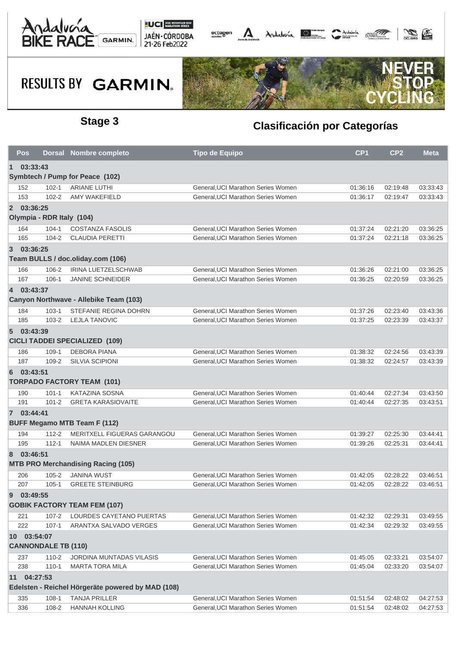



## **RESULTS BY GARMIN.**



### **Stage 3 Clasificación por Categorías**

|                                                   | Pos        |                           | Dorsal Nombre completo                    | <b>Tipo de Equipo</b>              | CP <sub>1</sub> | CP <sub>2</sub> | <b>Meta</b> |  |  |  |  |  |
|---------------------------------------------------|------------|---------------------------|-------------------------------------------|------------------------------------|-----------------|-----------------|-------------|--|--|--|--|--|
| 03:33:43<br>$\mathbf 1$                           |            |                           |                                           |                                    |                 |                 |             |  |  |  |  |  |
| Symbtech / Pump for Peace (102)                   |            |                           |                                           |                                    |                 |                 |             |  |  |  |  |  |
|                                                   | 152        | $102 - 1$                 | <b>ARIANE LUTHI</b>                       | General, UCI Marathon Series Women | 01:36:16        | 02:19:48        | 03:33:43    |  |  |  |  |  |
|                                                   | 153        | $102 - 2$                 | <b>AMY WAKEFIELD</b>                      | General.UCI Marathon Series Women  | 01:36:17        | 02:19:47        | 03:33:43    |  |  |  |  |  |
|                                                   | 2 03:36:25 |                           |                                           |                                    |                 |                 |             |  |  |  |  |  |
|                                                   |            | Olympia - RDR Italy (104) |                                           |                                    |                 |                 |             |  |  |  |  |  |
|                                                   | 164        | $104 - 1$                 | <b>COSTANZA FASOLIS</b>                   | General, UCI Marathon Series Women | 01:37:24        | 02:21:20        | 03:36:25    |  |  |  |  |  |
|                                                   | 165        | $104 - 2$                 | <b>CLAUDIA PERETTI</b>                    | General, UCI Marathon Series Women | 01:37:24        | 02:21:18        | 03:36:25    |  |  |  |  |  |
| $\overline{3}$                                    | 03:36:25   |                           |                                           |                                    |                 |                 |             |  |  |  |  |  |
|                                                   |            |                           | Team BULLS / doc.oliday.com (106)         |                                    |                 |                 |             |  |  |  |  |  |
|                                                   | 166        | 106-2                     | IRINA LUETZELSCHWAB                       | General, UCI Marathon Series Women | 01:36:26        | 02:21:00        | 03:36:25    |  |  |  |  |  |
|                                                   | 167        | $106 - 1$                 | <b>JANINE SCHNEIDER</b>                   | General, UCI Marathon Series Women | 01:36:25        | 02:20:59        | 03:36:25    |  |  |  |  |  |
|                                                   | 4 03:43:37 |                           |                                           |                                    |                 |                 |             |  |  |  |  |  |
|                                                   |            |                           | Canyon Northwave - Allebike Team (103)    |                                    |                 |                 |             |  |  |  |  |  |
|                                                   | 184        | $103 - 1$                 | <b>STEFANIE REGINA DOHRN</b>              | General, UCI Marathon Series Women | 01:37:26        | 02:23:40        | 03:43:36    |  |  |  |  |  |
|                                                   | 185        | $103 - 2$                 | <b>LEJLA TANOVIC</b>                      | General, UCI Marathon Series Women | 01:37:25        | 02:23:39        | 03:43:37    |  |  |  |  |  |
|                                                   | 5 03:43:39 |                           |                                           |                                    |                 |                 |             |  |  |  |  |  |
| <b>CICLI TADDEI SPECIALIZED (109)</b>             |            |                           |                                           |                                    |                 |                 |             |  |  |  |  |  |
|                                                   | 186        | $109-1$                   | <b>DEBORA PIANA</b>                       | General, UCI Marathon Series Women | 01:38:32        | 02:24:56        | 03:43:39    |  |  |  |  |  |
|                                                   | 187        | 109-2                     | <b>SILVIA SCIPIONI</b>                    | General, UCI Marathon Series Women | 01:38:32        | 02:24:57        | 03:43:39    |  |  |  |  |  |
| 6                                                 | 03:43:51   |                           |                                           |                                    |                 |                 |             |  |  |  |  |  |
|                                                   |            |                           | <b>TORPADO FACTORY TEAM (101)</b>         |                                    |                 |                 |             |  |  |  |  |  |
|                                                   | 190        | $101 - 1$                 | <b>KATAZINA SOSNA</b>                     | General, UCI Marathon Series Women | 01:40:44        | 02:27:34        | 03:43:50    |  |  |  |  |  |
|                                                   | 191        | $101 - 2$                 | <b>GRETA KARASIOVAITE</b>                 | General, UCI Marathon Series Women | 01:40:44        | 02:27:35        | 03:43:51    |  |  |  |  |  |
|                                                   | 7 03:44:41 |                           |                                           |                                    |                 |                 |             |  |  |  |  |  |
|                                                   |            |                           | <b>BUFF Megamo MTB Team F (112)</b>       |                                    |                 |                 |             |  |  |  |  |  |
|                                                   | 194        | $112 - 2$                 | MERITXELL FIGUERAS GARANGOU               | General, UCI Marathon Series Women | 01:39:27        | 02:25:30        | 03:44:41    |  |  |  |  |  |
|                                                   | 195        | $112 - 1$                 | NAIMA MADLEN DIESNER                      | General, UCI Marathon Series Women | 01:39:26        | 02:25:31        | 03:44:41    |  |  |  |  |  |
|                                                   | 8 03:46:51 |                           |                                           |                                    |                 |                 |             |  |  |  |  |  |
|                                                   |            |                           | <b>MTB PRO Merchandising Racing (105)</b> |                                    |                 |                 |             |  |  |  |  |  |
|                                                   | 206        | $105 - 2$                 | <b>JANINA WUST</b>                        | General, UCI Marathon Series Women | 01:42:05        | 02:28:22        | 03:46:51    |  |  |  |  |  |
|                                                   | 207        | $105 - 1$                 | <b>GREETE STEINBURG</b>                   | General, UCI Marathon Series Women | 01:42:05        | 02:28:22        | 03:46:51    |  |  |  |  |  |
| 9                                                 | 03:49:55   |                           |                                           |                                    |                 |                 |             |  |  |  |  |  |
|                                                   |            |                           | <b>GOBIK FACTORY TEAM FEM (107)</b>       |                                    |                 |                 |             |  |  |  |  |  |
|                                                   | 221        | $107 - 2$                 | LOURDES CAYETANO PUERTAS                  | General, UCI Marathon Series Women | 01:42:32        | 02:29:31        | 03:49:55    |  |  |  |  |  |
|                                                   | 222        | $107 - 1$                 | ARANTXA SALVADO VERGES                    | General.UCI Marathon Series Women  | 01:42:34        | 02:29:32        | 03:49:55    |  |  |  |  |  |
|                                                   |            |                           |                                           |                                    |                 |                 |             |  |  |  |  |  |
| 10 03:54:07<br><b>CANNONDALE TB (110)</b>         |            |                           |                                           |                                    |                 |                 |             |  |  |  |  |  |
|                                                   | 237        | $110 - 2$                 | <b>JORDINA MUNTADAS VILASIS</b>           | General, UCI Marathon Series Women | 01:45:05        | 02:33:21        | 03:54:07    |  |  |  |  |  |
|                                                   | 238        | $110 - 1$                 | <b>MARTA TORA MILA</b>                    | General, UCI Marathon Series Women | 01:45:04        | 02:33:20        | 03:54:07    |  |  |  |  |  |
| 11                                                | 04:27:53   |                           |                                           |                                    |                 |                 |             |  |  |  |  |  |
| Edelsten - Reichel Hörgeräte powered by MAD (108) |            |                           |                                           |                                    |                 |                 |             |  |  |  |  |  |
|                                                   | 335        | $108-1$                   | <b>TANJA PRILLER</b>                      | General, UCI Marathon Series Women | 01:51:54        | 02:48:02        | 04:27:53    |  |  |  |  |  |
|                                                   | 336        | 108-2                     | <b>HANNAH KOLLING</b>                     | General, UCI Marathon Series Women | 01:51:54        | 02:48:02        | 04:27:53    |  |  |  |  |  |
|                                                   |            |                           |                                           |                                    |                 |                 |             |  |  |  |  |  |